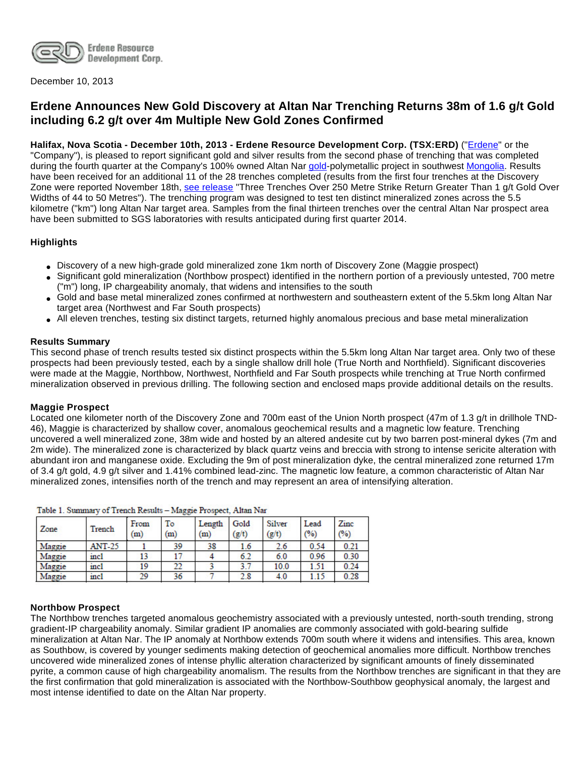

December 10, 2013

# **Erdene Announces New Gold Discovery at Altan Nar Trenching Returns 38m of 1.6 g/t Gold including 6.2 g/t over 4m Multiple New Gold Zones Confirmed**

**Halifax, Nova Scotia - December 10th, 2013 - Erdene Resource Development Corp. (TSX:ERD)** ("[Erdene"](http://www.erdene.com/) or the "Company"), is pleased to report significant gold and silver results from the second phase of trenching that was completed during the fourth quarter at the Company's 100% owned Altan Nar [gold](http://www.erdene.com/projects40/zuunMod42b8.php)-polymetallic project in southwest [Mongolia](http://www.erdene.com/). Results have been received for an additional 11 of the 28 trenches completed (results from the first four trenches at the Discovery Zone were reported November 18th, [see release](http://investor.shareholder.com/erd/releasedetail.cfm?ReleaseID=808059) "Three Trenches Over 250 Metre Strike Return Greater Than 1 g/t Gold Over Widths of 44 to 50 Metres"). The trenching program was designed to test ten distinct mineralized zones across the 5.5 kilometre ("km") long Altan Nar target area. Samples from the final thirteen trenches over the central Altan Nar prospect area have been submitted to SGS laboratories with results anticipated during first quarter 2014.

# **Highlights**

- Discovery of a new high-grade gold mineralized zone 1km north of Discovery Zone (Maggie prospect)
- Significant gold mineralization (Northbow prospect) identified in the northern portion of a previously untested, 700 metre ("m") long, IP chargeability anomaly, that widens and intensifies to the south
- Gold and base metal mineralized zones confirmed at northwestern and southeastern extent of the 5.5km long Altan Nar target area (Northwest and Far South prospects)
- All eleven trenches, testing six distinct targets, returned highly anomalous precious and base metal mineralization

#### **Results Summary**

This second phase of trench results tested six distinct prospects within the 5.5km long Altan Nar target area. Only two of these prospects had been previously tested, each by a single shallow drill hole (True North and Northfield). Significant discoveries were made at the Maggie, Northbow, Northwest, Northfield and Far South prospects while trenching at True North confirmed mineralization observed in previous drilling. The following section and enclosed maps provide additional details on the results.

#### **Maggie Prospect**

Located one kilometer north of the Discovery Zone and 700m east of the Union North prospect (47m of 1.3 g/t in drillhole TND-46), Maggie is characterized by shallow cover, anomalous geochemical results and a magnetic low feature. Trenching uncovered a well mineralized zone, 38m wide and hosted by an altered andesite cut by two barren post-mineral dykes (7m and 2m wide). The mineralized zone is characterized by black quartz veins and breccia with strong to intense sericite alteration with abundant iron and manganese oxide. Excluding the 9m of post mineralization dyke, the central mineralized zone returned 17m of 3.4 g/t gold, 4.9 g/t silver and 1.41% combined lead-zinc. The magnetic low feature, a common characteristic of Altan Nar mineralized zones, intensifies north of the trench and may represent an area of intensifying alteration.

| Zone   | Trench        | From<br>m | To<br>(m) | Length<br>(m) | Gold<br>(g/t) | Silver<br>$\left( \mathrm{g/t}\right)$ | Lead<br>(%) | Zinc<br>$\frac{1}{2}$ |
|--------|---------------|-----------|-----------|---------------|---------------|----------------------------------------|-------------|-----------------------|
| Maggie | <b>ANT-25</b> |           | 39        | 38            | 1.6           | 2.6                                    | 0.54        | 0.21                  |
| Maggie | incl          | 13        |           |               | 6.2           | 6.0                                    | 0.96        | 0.30                  |
| Maggie | incl          | 19        | 22        |               | 3.7           | 10.0                                   | 1.51        | 0.24                  |
| Maggie | incl          | 29        | 36        |               | 2.8           | 4.0                                    | 1.15        | 0.28                  |

Table 1, Common of Trength Davids - Magnis Deceased, Altern Mag

#### **Northbow Prospect**

The Northbow trenches targeted anomalous geochemistry associated with a previously untested, north-south trending, strong gradient-IP chargeability anomaly. Similar gradient IP anomalies are commonly associated with gold-bearing sulfide mineralization at Altan Nar. The IP anomaly at Northbow extends 700m south where it widens and intensifies. This area, known as Southbow, is covered by younger sediments making detection of geochemical anomalies more difficult. Northbow trenches uncovered wide mineralized zones of intense phyllic alteration characterized by significant amounts of finely disseminated pyrite, a common cause of high chargeability anomalism. The results from the Northbow trenches are significant in that they are the first confirmation that gold mineralization is associated with the Northbow-Southbow geophysical anomaly, the largest and most intense identified to date on the Altan Nar property.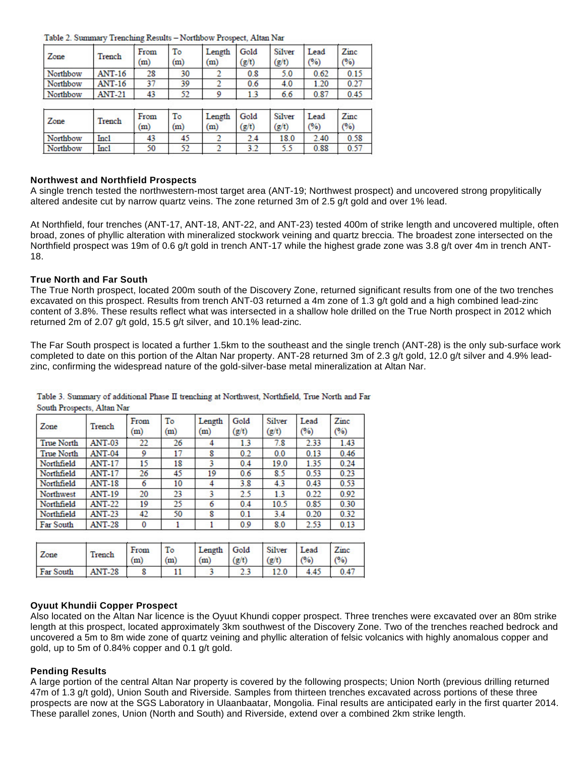Table 2. Summary Trenching Results - Northbow Prospect, Altan Nar

| Zone     | Trench        | From<br>(m) | To<br>(m) | Length<br>(m) | Gold<br>(g/t) | Silver<br>(g/t) | Lead<br>(%) | Zinc<br>(%) |
|----------|---------------|-------------|-----------|---------------|---------------|-----------------|-------------|-------------|
| Northbow | <b>ANT-16</b> | 28          | 30        |               | 0.8           | 5.0             | 0.62        | 0.15        |
| Northbow | <b>ANT-16</b> | 37          | 39        |               | 0.6           | 4.0             | 1.20        | 0.27        |
| Northbow | <b>ANT-21</b> | 43          | 52        | 9             | 1.3           | 6.6             | 0.87        | 0.45        |
| Zone     | Trench        | From<br>(m) | To<br>(m) | Length<br>(m) | Gold<br>(g/t) | Silver<br>(g/t) | Lead<br>(%) | Zinc<br>(%) |
| Northbow | Incl.         | 43          | 45        |               | 2.4           | 18.0            | 2.40        | 0.58        |
| Northbow | <b>Incl</b>   | 50          | 52        |               | 3.2           | 5.5             | 0.88        | 0.57        |

#### **Northwest and Northfield Prospects**

A single trench tested the northwestern-most target area (ANT-19; Northwest prospect) and uncovered strong propylitically altered andesite cut by narrow quartz veins. The zone returned 3m of 2.5 g/t gold and over 1% lead.

At Northfield, four trenches (ANT-17, ANT-18, ANT-22, and ANT-23) tested 400m of strike length and uncovered multiple, often broad, zones of phyllic alteration with mineralized stockwork veining and quartz breccia. The broadest zone intersected on the Northfield prospect was 19m of 0.6 g/t gold in trench ANT-17 while the highest grade zone was 3.8 g/t over 4m in trench ANT-18.

#### **True North and Far South**

The True North prospect, located 200m south of the Discovery Zone, returned significant results from one of the two trenches excavated on this prospect. Results from trench ANT-03 returned a 4m zone of 1.3 g/t gold and a high combined lead-zinc content of 3.8%. These results reflect what was intersected in a shallow hole drilled on the True North prospect in 2012 which returned 2m of 2.07 g/t gold, 15.5 g/t silver, and 10.1% lead-zinc.

The Far South prospect is located a further 1.5km to the southeast and the single trench (ANT-28) is the only sub-surface work completed to date on this portion of the Altan Nar property. ANT-28 returned 3m of 2.3 g/t gold, 12.0 g/t silver and 4.9% leadzinc, confirming the widespread nature of the gold-silver-base metal mineralization at Altan Nar.

|                            |  |  |  | Table 3. Summary of additional Phase II trenching at Northwest, Northfield, True North and Far |  |  |
|----------------------------|--|--|--|------------------------------------------------------------------------------------------------|--|--|
| South Prospects, Altan Nar |  |  |  |                                                                                                |  |  |
|                            |  |  |  |                                                                                                |  |  |

| Zone              | Trench        | From<br>$\scriptstyle{\rm (m)}$ | To<br>(m) | Length<br>(m) | Gold<br>(g/t) | Silver<br>(g/t) | Lead<br>(%) | Zinc<br>(%) |
|-------------------|---------------|---------------------------------|-----------|---------------|---------------|-----------------|-------------|-------------|
| <b>True North</b> | <b>ANT-03</b> | 22                              | 26        | 4             | 1.3           | 7.8             | 2.33        | 1.43        |
| <b>True North</b> | <b>ANT-04</b> | 9                               | 17        | 8             | 0.2           | 0.0             | 0.13        | 0.46        |
| Northfield        | <b>ANT-17</b> | 15                              | 18        | 3             | 0.4           | 19.0            | 1.35        | 0.24        |
| Northfield        | <b>ANT-17</b> | 26                              | 45        | 19            | 0.6           | 8.5             | 0.53        | 0.23        |
| Northfield        | <b>ANT-18</b> | 6                               | 10        | 4             | 3.8           | 4.3             | 0.43        | 0.53        |
| Northwest         | <b>ANT-19</b> | 20                              | 23        | 3             | 2.5           | 1.3             | 0.22        | 0.92        |
| Northfield        | <b>ANT-22</b> | 19                              | 25        | 6             | 0.4           | 10.5            | 0.85        | 0.30        |
| Northfield        | <b>ANT-23</b> | 42                              | 50        | 8             | 0.1           | 3.4             | 0.20        | 0.32        |
| Far South         | <b>ANT-28</b> | 0                               |           |               | 0.9           | 8.0             | 2.53        | 0.13        |

| Zone      | Trench        | From<br>(m) | To<br>(m) | Length<br>(m) | Gold<br>(g/t) | Silver<br>(g/t) | Lead<br>(96) | Zinc<br>(%) |
|-----------|---------------|-------------|-----------|---------------|---------------|-----------------|--------------|-------------|
| Far South | <b>ANT-28</b> |             |           |               | د.ء           |                 | 4.45         | 0.47        |

#### **Oyuut Khundii Copper Prospect**

Also located on the Altan Nar licence is the Oyuut Khundi copper prospect. Three trenches were excavated over an 80m strike length at this prospect, located approximately 3km southwest of the Discovery Zone. Two of the trenches reached bedrock and uncovered a 5m to 8m wide zone of quartz veining and phyllic alteration of felsic volcanics with highly anomalous copper and gold, up to 5m of 0.84% copper and 0.1 g/t gold.

#### **Pending Results**

A large portion of the central Altan Nar property is covered by the following prospects; Union North (previous drilling returned 47m of 1.3 g/t gold), Union South and Riverside. Samples from thirteen trenches excavated across portions of these three prospects are now at the SGS Laboratory in Ulaanbaatar, Mongolia. Final results are anticipated early in the first quarter 2014. These parallel zones, Union (North and South) and Riverside, extend over a combined 2km strike length.